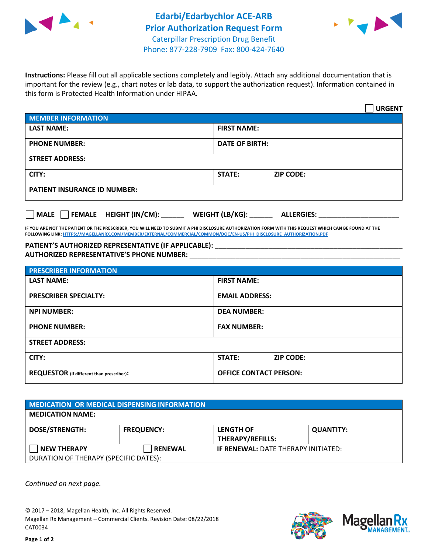



**Instructions:** Please fill out all applicable sections completely and legibly. Attach any additional documentation that is important for the review (e.g., chart notes or lab data, to support the authorization request). Information contained in this form is Protected Health Information under HIPAA.

|                                     | <b>URGENT</b>                     |  |
|-------------------------------------|-----------------------------------|--|
| <b>MEMBER INFORMATION</b>           |                                   |  |
| <b>LAST NAME:</b>                   | <b>FIRST NAME:</b>                |  |
| <b>PHONE NUMBER:</b>                | <b>DATE OF BIRTH:</b>             |  |
| <b>STREET ADDRESS:</b>              |                                   |  |
| CITY:                               | <b>STATE:</b><br><b>ZIP CODE:</b> |  |
| <b>PATIENT INSURANCE ID NUMBER:</b> |                                   |  |

**MALE FEMALE HEIGHT (IN/CM): \_\_\_\_\_\_ WEIGHT (LB/KG): \_\_\_\_\_\_ ALLERGIES: \_\_\_\_\_\_\_\_\_\_\_\_\_\_\_\_\_\_\_\_\_**

**IF YOU ARE NOT THE PATIENT OR THE PRESCRIBER, YOU WILL NEED TO SUBMIT A PHI DISCLOSURE AUTHORIZATION FORM WITH THIS REQUEST WHICH CAN BE FOUND AT THE FOLLOWING LINK[: HTTPS://MAGELLANRX.COM/MEMBER/EXTERNAL/COMMERCIAL/COMMON/DOC/EN-US/PHI\\_DISCLOSURE\\_AUTHORIZATION.PDF](https://magellanrx.com/member/external/commercial/common/doc/en-us/PHI_Disclosure_Authorization.pdf)**

## PATIENT'S AUTHORIZED REPRESENTATIVE (IF APPLICABLE): **AUTHORIZED REPRESENTATIVE'S PHONE NUMBER:** \_\_\_\_\_\_\_\_\_\_\_\_\_\_\_\_\_\_\_\_\_\_\_\_\_\_\_\_\_\_\_\_\_\_\_\_\_\_\_\_\_\_\_\_\_\_\_\_\_\_\_\_\_\_\_

| <b>PRESCRIBER INFORMATION</b>             |                               |  |
|-------------------------------------------|-------------------------------|--|
| <b>LAST NAME:</b>                         | <b>FIRST NAME:</b>            |  |
| <b>PRESCRIBER SPECIALTY:</b>              | <b>EMAIL ADDRESS:</b>         |  |
| <b>NPI NUMBER:</b>                        | <b>DEA NUMBER:</b>            |  |
| <b>PHONE NUMBER:</b>                      | <b>FAX NUMBER:</b>            |  |
| <b>STREET ADDRESS:</b>                    |                               |  |
| CITY:                                     | STATE:<br><b>ZIP CODE:</b>    |  |
| REQUESTOR (if different than prescriber): | <b>OFFICE CONTACT PERSON:</b> |  |

| <b>MEDICATION OR MEDICAL DISPENSING INFORMATION</b> |                   |                                             |                  |  |  |
|-----------------------------------------------------|-------------------|---------------------------------------------|------------------|--|--|
| <b>MEDICATION NAME:</b>                             |                   |                                             |                  |  |  |
| <b>DOSE/STRENGTH:</b>                               | <b>FREQUENCY:</b> | <b>LENGTH OF</b><br><b>THERAPY/REFILLS:</b> | <b>QUANTITY:</b> |  |  |
| <b>NEW THERAPY</b>                                  | <b>RENEWAL</b>    | <b>IF RENEWAL: DATE THERAPY INITIATED:</b>  |                  |  |  |
| DURATION OF THERAPY (SPECIFIC DATES):               |                   |                                             |                  |  |  |

*Continued on next page.*

© 2017 – 2018, Magellan Health, Inc. All Rights Reserved. Magellan Rx Management – Commercial Clients. Revision Date: 08/22/2018 CAT0034